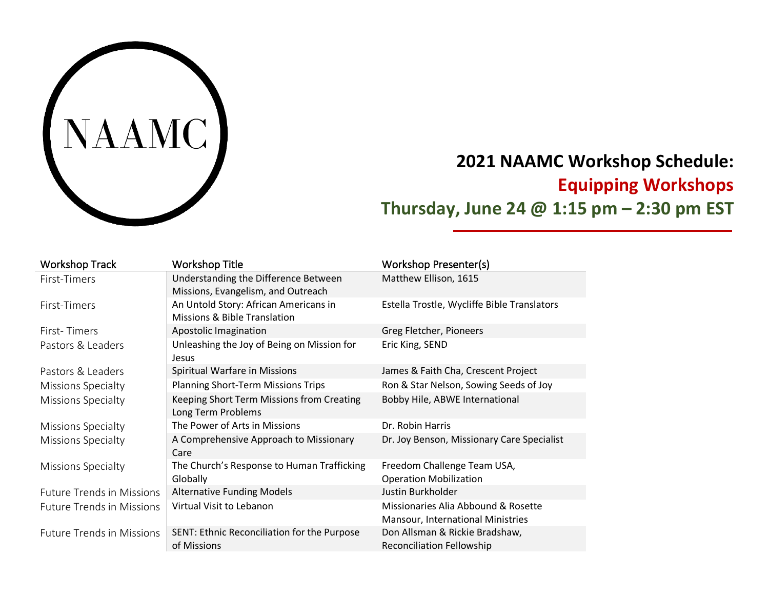

# **2021 NAAMC Workshop Schedule: Equipping Workshops Thursday, June 24 @ 1:15 pm – 2:30 pm EST**

| <b>Workshop Track</b>            | <b>Workshop Title</b>                                                      | <b>Workshop Presenter(s)</b>                                             |
|----------------------------------|----------------------------------------------------------------------------|--------------------------------------------------------------------------|
| First-Timers                     | Understanding the Difference Between<br>Missions, Evangelism, and Outreach | Matthew Ellison, 1615                                                    |
| First-Timers                     | An Untold Story: African Americans in<br>Missions & Bible Translation      | Estella Trostle, Wycliffe Bible Translators                              |
| First-Timers                     | Apostolic Imagination                                                      | Greg Fletcher, Pioneers                                                  |
| Pastors & Leaders                | Unleashing the Joy of Being on Mission for<br>Jesus                        | Eric King, SEND                                                          |
| Pastors & Leaders                | Spiritual Warfare in Missions                                              | James & Faith Cha, Crescent Project                                      |
| Missions Specialty               | <b>Planning Short-Term Missions Trips</b>                                  | Ron & Star Nelson, Sowing Seeds of Joy                                   |
| <b>Missions Specialty</b>        | Keeping Short Term Missions from Creating<br>Long Term Problems            | Bobby Hile, ABWE International                                           |
| <b>Missions Specialty</b>        | The Power of Arts in Missions                                              | Dr. Robin Harris                                                         |
| Missions Specialty               | A Comprehensive Approach to Missionary<br>Care                             | Dr. Joy Benson, Missionary Care Specialist                               |
| Missions Specialty               | The Church's Response to Human Trafficking<br>Globally                     | Freedom Challenge Team USA,<br><b>Operation Mobilization</b>             |
| <b>Future Trends in Missions</b> | <b>Alternative Funding Models</b>                                          | Justin Burkholder                                                        |
| <b>Future Trends in Missions</b> | Virtual Visit to Lebanon                                                   | Missionaries Alia Abbound & Rosette<br>Mansour, International Ministries |
| <b>Future Trends in Missions</b> | SENT: Ethnic Reconciliation for the Purpose<br>of Missions                 | Don Allsman & Rickie Bradshaw,<br><b>Reconciliation Fellowship</b>       |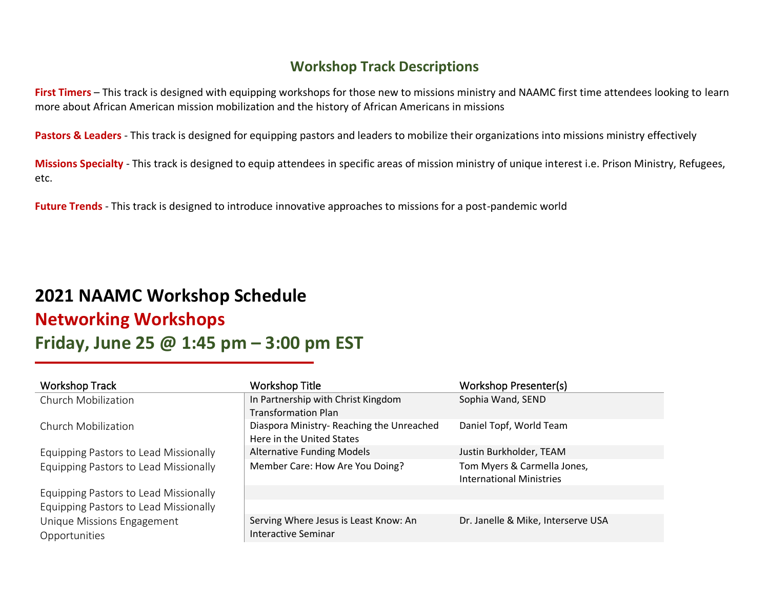#### **Workshop Track Descriptions**

**First Timers** – This track is designed with equipping workshops for those new to missions ministry and NAAMC first time attendees looking to learn more about African American mission mobilization and the history of African Americans in missions

Pastors & Leaders - This track is designed for equipping pastors and leaders to mobilize their organizations into missions ministry effectively

**Missions Specialty** - This track is designed to equip attendees in specific areas of mission ministry of unique interest i.e. Prison Ministry, Refugees, etc.

**Future Trends** - This track is designed to introduce innovative approaches to missions for a post-pandemic world

## **2021 NAAMC Workshop Schedule Networking Workshops Friday, June 25 @ 1:45 pm – 3:00 pm EST**

| <b>Workshop Track</b>                 | <b>Workshop Title</b>                    | Workshop Presenter(s)              |
|---------------------------------------|------------------------------------------|------------------------------------|
| Church Mobilization                   | In Partnership with Christ Kingdom       | Sophia Wand, SEND                  |
|                                       | <b>Transformation Plan</b>               |                                    |
| Church Mobilization                   | Diaspora Ministry-Reaching the Unreached | Daniel Topf, World Team            |
|                                       | Here in the United States                |                                    |
| Equipping Pastors to Lead Missionally | <b>Alternative Funding Models</b>        | Justin Burkholder, TEAM            |
| Equipping Pastors to Lead Missionally | Member Care: How Are You Doing?          | Tom Myers & Carmella Jones,        |
|                                       |                                          | <b>International Ministries</b>    |
| Equipping Pastors to Lead Missionally |                                          |                                    |
| Equipping Pastors to Lead Missionally |                                          |                                    |
| Unique Missions Engagement            | Serving Where Jesus is Least Know: An    | Dr. Janelle & Mike, Interserve USA |
| Opportunities                         | Interactive Seminar                      |                                    |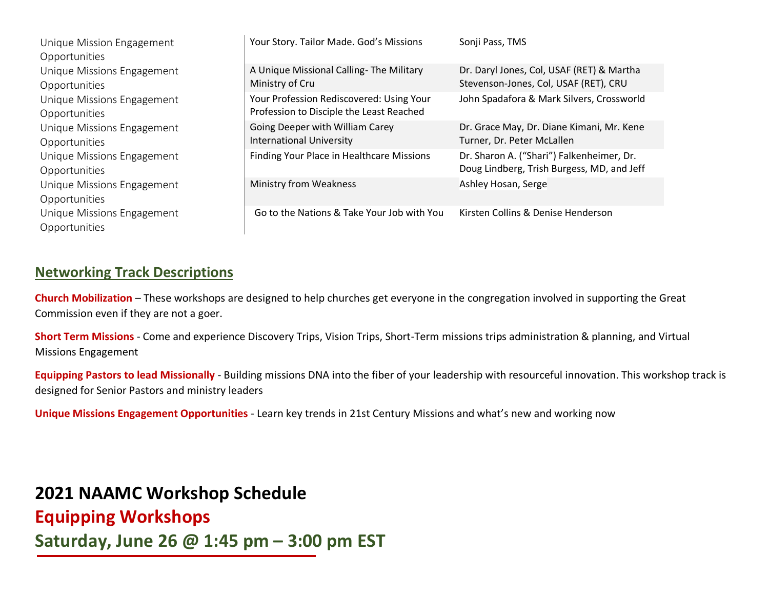| Unique Mission Engagement<br>Opportunities  | Your Story. Tailor Made. God's Missions                                              | Sonji Pass, TMS                                                                         |
|---------------------------------------------|--------------------------------------------------------------------------------------|-----------------------------------------------------------------------------------------|
| Unique Missions Engagement<br>Opportunities | A Unique Missional Calling-The Military<br>Ministry of Cru                           | Dr. Daryl Jones, Col, USAF (RET) & Martha<br>Stevenson-Jones, Col, USAF (RET), CRU      |
| Unique Missions Engagement<br>Opportunities | Your Profession Rediscovered: Using Your<br>Profession to Disciple the Least Reached | John Spadafora & Mark Silvers, Crossworld                                               |
| Unique Missions Engagement<br>Opportunities | Going Deeper with William Carey<br><b>International University</b>                   | Dr. Grace May, Dr. Diane Kimani, Mr. Kene<br>Turner, Dr. Peter McLallen                 |
| Unique Missions Engagement<br>Opportunities | Finding Your Place in Healthcare Missions                                            | Dr. Sharon A. ("Shari") Falkenheimer, Dr.<br>Doug Lindberg, Trish Burgess, MD, and Jeff |
| Unique Missions Engagement<br>Opportunities | <b>Ministry from Weakness</b>                                                        | Ashley Hosan, Serge                                                                     |
| Unique Missions Engagement<br>Opportunities | Go to the Nations & Take Your Job with You                                           | Kirsten Collins & Denise Henderson                                                      |

#### **Networking Track Descriptions**

**Church Mobilization** – These workshops are designed to help churches get everyone in the congregation involved in supporting the Great Commission even if they are not a goer.

**Short Term Missions** - Come and experience Discovery Trips, Vision Trips, Short-Term missions trips administration & planning, and Virtual Missions Engagement

**Equipping Pastors to lead Missionally** - Building missions DNA into the fiber of your leadership with resourceful innovation. This workshop track is designed for Senior Pastors and ministry leaders

**Unique Missions Engagement Opportunities** - Learn key trends in 21st Century Missions and what's new and working now

### **2021 NAAMC Workshop Schedule**

**Equipping Workshops Saturday, June 26 @ 1:45 pm – 3:00 pm EST**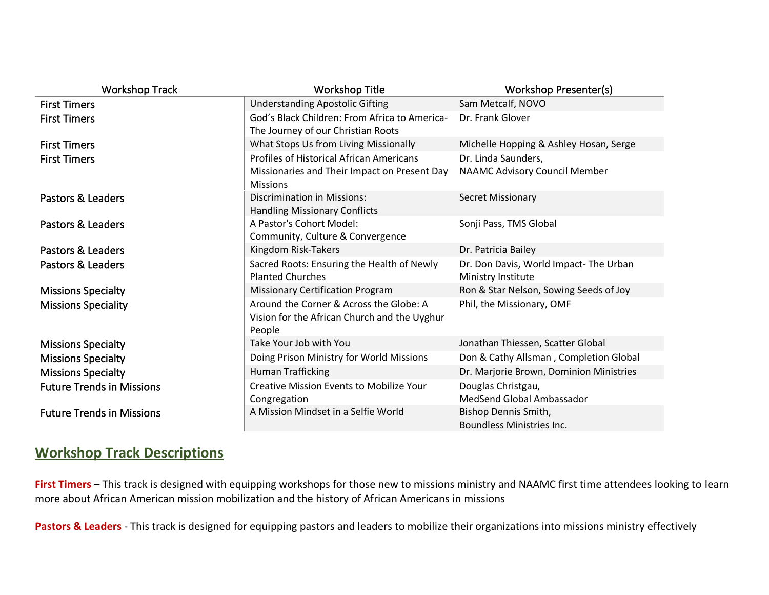| <b>Workshop Track</b>            | <b>Workshop Title</b>                                                                                              | Workshop Presenter(s)                                       |
|----------------------------------|--------------------------------------------------------------------------------------------------------------------|-------------------------------------------------------------|
| <b>First Timers</b>              | <b>Understanding Apostolic Gifting</b>                                                                             | Sam Metcalf, NOVO                                           |
| <b>First Timers</b>              | God's Black Children: From Africa to America-<br>The Journey of our Christian Roots                                | Dr. Frank Glover                                            |
| <b>First Timers</b>              | What Stops Us from Living Missionally                                                                              | Michelle Hopping & Ashley Hosan, Serge                      |
| <b>First Timers</b>              | <b>Profiles of Historical African Americans</b><br>Missionaries and Their Impact on Present Day<br><b>Missions</b> | Dr. Linda Saunders,<br>NAAMC Advisory Council Member        |
| Pastors & Leaders                | <b>Discrimination in Missions:</b><br><b>Handling Missionary Conflicts</b>                                         | <b>Secret Missionary</b>                                    |
| Pastors & Leaders                | A Pastor's Cohort Model:<br>Community, Culture & Convergence                                                       | Sonji Pass, TMS Global                                      |
| Pastors & Leaders                | Kingdom Risk-Takers                                                                                                | Dr. Patricia Bailey                                         |
| Pastors & Leaders                | Sacred Roots: Ensuring the Health of Newly<br><b>Planted Churches</b>                                              | Dr. Don Davis, World Impact-The Urban<br>Ministry Institute |
| <b>Missions Specialty</b>        | <b>Missionary Certification Program</b>                                                                            | Ron & Star Nelson, Sowing Seeds of Joy                      |
| <b>Missions Speciality</b>       | Around the Corner & Across the Globe: A<br>Vision for the African Church and the Uyghur<br>People                  | Phil, the Missionary, OMF                                   |
| <b>Missions Specialty</b>        | Take Your Job with You                                                                                             | Jonathan Thiessen, Scatter Global                           |
| <b>Missions Specialty</b>        | Doing Prison Ministry for World Missions                                                                           | Don & Cathy Allsman, Completion Global                      |
| <b>Missions Specialty</b>        | <b>Human Trafficking</b>                                                                                           | Dr. Marjorie Brown, Dominion Ministries                     |
| <b>Future Trends in Missions</b> | <b>Creative Mission Events to Mobilize Your</b><br>Congregation                                                    | Douglas Christgau,<br>MedSend Global Ambassador             |
| <b>Future Trends in Missions</b> | A Mission Mindset in a Selfie World                                                                                | Bishop Dennis Smith,<br><b>Boundless Ministries Inc.</b>    |

### **Workshop Track Descriptions**

**First Timers** – This track is designed with equipping workshops for those new to missions ministry and NAAMC first time attendees looking to learn more about African American mission mobilization and the history of African Americans in missions

**Pastors & Leaders** - This track is designed for equipping pastors and leaders to mobilize their organizations into missions ministry effectively